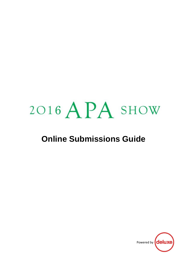## 2016 APA SHOW

## **Online Submissions Guide**

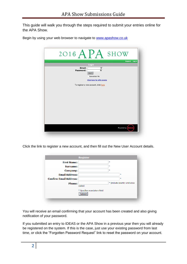This guide will walk you through the steps required to submit your entries online for the APA Show.

Begin by using your web browser to navigate to [www.apashow.co.uk](http://www.apashow.co.uk/)

| 2016 $APA$ SHOW                                                                                                                                           |
|-----------------------------------------------------------------------------------------------------------------------------------------------------------|
| Support Log in<br>Login<br>Email:<br>圖<br>Password:<br>Log in<br>Remember Me<br><b>Click here for APA events</b><br>To register a new account, click here |
| Powered by                                                                                                                                                |

Click the link to register a new account, and then fill out the New User Account details.

|                               | <b>Register</b>             |    |                             |
|-------------------------------|-----------------------------|----|-----------------------------|
| <b>First Name:</b>            |                             | ×. |                             |
| Surname:                      |                             | ×. |                             |
| <b>Company:</b>               |                             | ×. |                             |
| <b>Email Address:</b>         |                             |    | ÷                           |
| <b>Confirm Email Address:</b> |                             |    | ÷                           |
| <b>Phone:</b>                 |                             |    | * (include country and area |
|                               | codes)                      |    |                             |
|                               | * Specifies mandatory field |    |                             |
|                               | <b>Submit</b>               |    |                             |

You will receive an email confirming that your account has been created and also giving notification of your password.

If you submitted an entry to IDEAS or the APA Show in a previous year then you will already be registered on the system. If this is the case, just use your existing password from last time, or click the "Forgotten Password Request" link to reset the password on your account.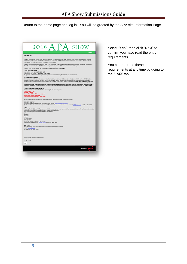Return to the home page and log in. You will be greeted by the APA site Information Page.



Select "Yes", then click "Next" to confirm you have read the entry requirements.

You can return to these requirements at any time by going to the "FAQ" tab.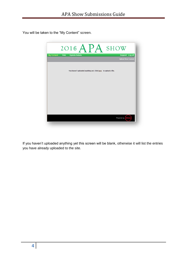You will be taken to the "My Content" screen.



If you haven't uploaded anything yet this screen will be blank, otherwise it will list the entries you have already uploaded to the site.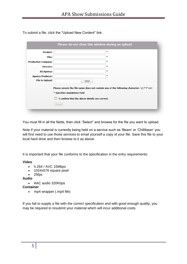To submit a file, click the "Upload New Content" link.

|                            | Please do not close this window during an upload                                                                                                                                            |   |
|----------------------------|---------------------------------------------------------------------------------------------------------------------------------------------------------------------------------------------|---|
| <b>Product:</b>            |                                                                                                                                                                                             | 車 |
| Title:                     |                                                                                                                                                                                             | 車 |
| <b>Production Company:</b> |                                                                                                                                                                                             | * |
| Director:                  |                                                                                                                                                                                             | * |
| <b>Ad Agency:</b>          |                                                                                                                                                                                             | 車 |
| <b>Agency Producer:</b>    |                                                                                                                                                                                             | * |
| <b>File to Upload:</b>     | Select                                                                                                                                                                                      |   |
|                            | Please ensure the file name does not contain any of the following character: $\setminus$ /:*?"<>!<br>* Specifies mandatory field<br>I confirm that the above details are correct.<br>Upload |   |

You must fill in all the fields, then click "Select" and browse for the file you want to upload.

Note if your material is currently being held on a service such as 'Beam' or 'Chillibean' you will first need to use those services to email yourself a copy of your file. Save this file to your local hard drive and then browse to it as above.

It is important that your file conforms to the specification in the entry requirements:

## **Video**

- h.264 / AVC 15Mbps
- 1024x576 square pixel
- $\bullet$  25fps

**Audio**

AAC audio 320Kbps

## **Container**

• mp4 wrapper (.mp4 file)

If you fail to supply a file with the correct specification and with good enough quality, you may be required to resubmit your material which will incur additional costs.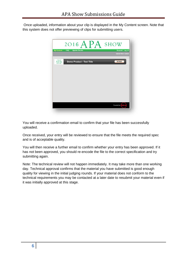Once uploaded, information about your clip is displayed in the My Content screen. Note that this system does not offer previewing of clips for submitting users.



You will receive a confirmation email to confirm that your file has been successfully uploaded.

Once received, your entry will be reviewed to ensure that the file meets the required spec and is of acceptable quality.

You will then receive a further email to confirm whether your entry has been approved. If it has not been approved, you should re-encode the file to the correct specification and try submitting again.

Note: The technical review will not happen immediately. It may take more than one working day. Technical approval confirms that the material you have submitted is good enough quality for viewing in the initial judging rounds. If your material does not conform to the technical requirements you may be contacted at a later date to resubmit your material even if it was initially approved at this stage.